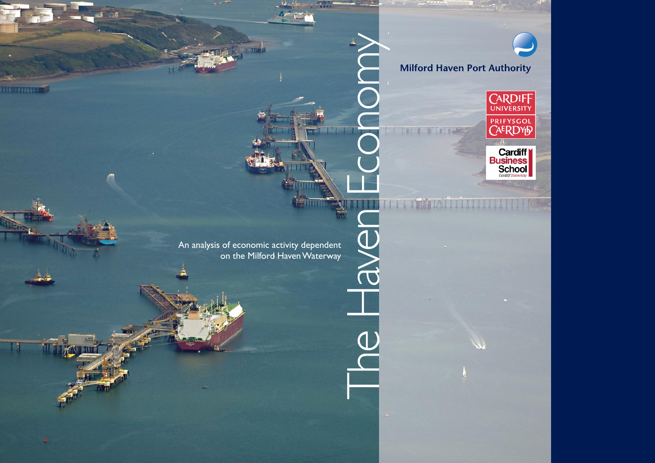**Milford Haven Port Authority** 

**CARDIFF** 

PRIFYSGOL<br>CAERDYD

**Cardiff**<br>Business<br>School<br>**Cardiff University** 



aver

 $\overline{\mathsf{d}}$ 

THE BIFFER TA

 $\sqrt{2}$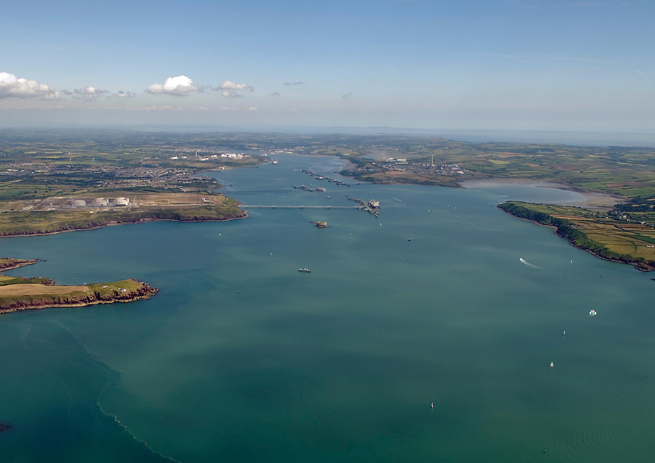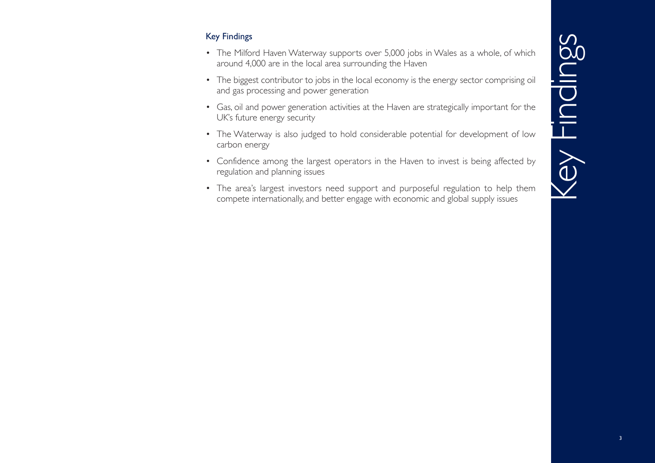# Key Findings

- The Milford Haven Waterway supports over 5,000 jobs in Wales as a whole, of which around 4,000 are in the local area surrounding the Haven
- The biggest contributor to jobs in the local economy is the energy sector comprising oil and gas processing and power generation
- Gas, oil and power generation activities at the Haven are strategically important for the UK's future energy security
- The Waterway is also judged to hold considerable potential for development of low carbon energy
- Confidence among the largest operators in the Haven to invest is being affected by regulation and planning issues
- The area's largest investors need support and purposeful regulation to help them compete internationally, and better engage with economic and global supply issues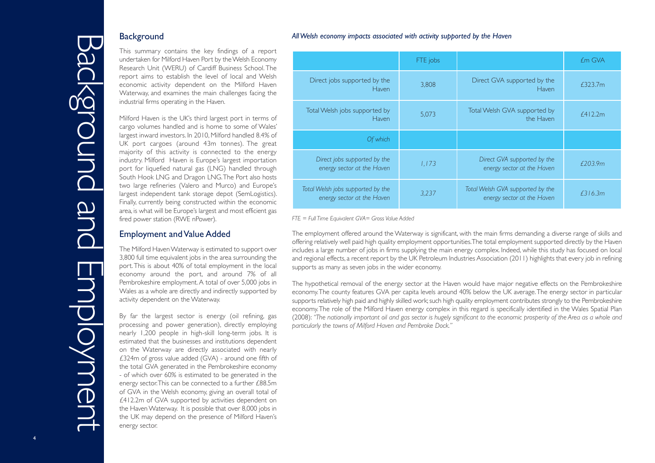### **Background**

This summary contains the key findings of a report undertaken for Milford Haven Port by the Welsh Economy Research Unit (WERU) of Cardiff Business School. The report aims to establish the level of local and Welsh economic activity dependent on the Milford Haven Waterway, and examines the main challenges facing the industrial firms operating in the Haven.

Milford Haven is the UK's third largest port in terms of cargo volumes handled and is home to some of Wales' largest inward investors. In 2010, Milford handled 8.4% of UK port cargoes (around 43m tonnes). The great majority of this activity is connected to the energy industry. Milford Haven is Europe's largest importation port for liquefied natural gas (LNG) handled through South Hook LNG and Dragon LNG.The Port also hosts two large refineries (Valero and Murco) and Europe's largest independent tank storage depot (SemLogistics). Finally, currently being constructed within the economic area, is what will be Europe's largest and most efficient gas fired power station (RWE nPower).

#### Employment and Value Added

The Milford Haven Waterway is estimated to support over 3,800 full time equivalent jobs in the area surrounding the port. This is about 40% of total employment in the local economy around the port, and around 7% of all Pembrokeshire employment. A total of over 5,000 jobs in Wales as a whole are directly and indirectly supported by activity dependent on the Waterway.

By far the largest sector is energy (oil refining, gas processing and power generation), directly employing nearly 1,200 people in high-skill long-term jobs. It is estimated that the businesses and institutions dependent on the Waterway are directly associated with nearly £324m of gross value added (GVA) - around one fifth of the total GVA generated in the Pembrokeshire economy - of which over 60% is estimated to be generated in the energy sector. This can be connected to a further £88.5m of GVA in the Welsh economy, giving an overall total of £412.2m of GVA supported by activities dependent on the Haven Waterway. It is possible that over 8,000 jobs in the UK may depend on the presence of Milford Haven's energy sector.

#### *All Welsh economy impacts associated with activity supported by the Haven*

|                                                                 | FTE jobs |                                                                | <i><b>£m GVA</b></i> |
|-----------------------------------------------------------------|----------|----------------------------------------------------------------|----------------------|
| Direct jobs supported by the<br>Haven                           | 3,808    | Direct GVA supported by the<br>Haven                           | £323.7m              |
| Total Welsh jobs supported by<br>Haven                          | 5,073    | Total Welsh GVA supported by<br>the Haven                      | £412.2m              |
| Of which                                                        |          |                                                                |                      |
| Direct jobs supported by the<br>energy sector at the Haven      | 1,173    | Direct GVA supported by the<br>energy sector at the Haven      | £203.9m              |
| Total Welsh jobs supported by the<br>energy sector at the Haven | 3,237    | Total Welsh GVA supported by the<br>energy sector at the Haven | £316.3m              |

*FTE = Full Time Equivalent GVA= Gross Value Added*

The employment offered around the Waterway is significant, with the main firms demanding a diverse range of skills and offering relatively well paid high quality employment opportunities. The total employment supported directly by the Haven includes a large number of jobs in firms supplying the main energy complex. Indeed, while this study has focused on local and regional effects, a recent report by the UK Petroleum Industries Association (2011) highlights that every job in refining supports as many as seven jobs in the wider economy.

The hypothetical removal of the energy sector at the Haven would have major negative effects on the Pembrokeshire economy. The county features GVA per capita levels around 40% below the UK average. The energy sector in particular supports relatively high paid and highly skilled work; such high quality employment contributes strongly to the Pembrokeshire economy. The role of the Milford Haven energy complex in this regard is specifically identified in the Wales Spatial Plan (2008): *"The nationally important oil and gas sector is hugely significant to the economic prosperity of the Area as a whole and particularly the towns of Milford Haven and Pembroke Dock."*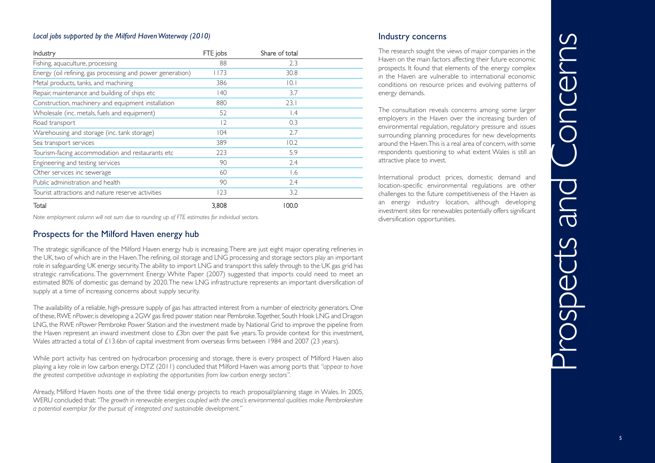#### *Local jobs supported by the Milford Haven Waterway (2010)*

| Industry                                                   | FTE jobs    | Share of total  |  |
|------------------------------------------------------------|-------------|-----------------|--|
| Fishing, aquaculture, processing                           | 88          | 2.3             |  |
| Energy (oil refining, gas processing and power generation) | <b>II73</b> | 30.8            |  |
| Metal products, tanks, and machining                       | 386         | 0.1             |  |
| Repair, maintenance and building of ships etc              | 140         | 3.7             |  |
| Construction, machinery and equipment installation         | 880         | 23.1            |  |
| Wholesale (inc. metals, fuels and equipment)               | 52          | $\mathsf{I}$ .4 |  |
| Road transport                                             | 12          | 0.3             |  |
| Warehousing and storage (inc. tank storage)                | 104         | 2.7             |  |
| Sea transport services                                     | 389         | 10.2            |  |
| Tourism-facing accommodation and restaurants etc           | 223         | 5.9             |  |
| Engineering and testing services                           | 90          | 2.4             |  |
| Other services inc sewerage                                | 60          | 1.6             |  |
| Public administration and health                           | 90          | 2.4             |  |
| Tourist attractions and nature reserve activities          | 123         | 3.2             |  |
| Total                                                      | 3,808       | 100.0           |  |

*Note: employment column will not sum due to rounding up of FTE estimates for individual sectors.* 

### Prospects for the Milford Haven energy hub

The strategic significance of the Milford Haven energy hub is increasing. There are just eight major operating refineries in the UK, two of which are in the Haven. The refining, oil storage and LNG processing and storage sectors play an important role in safeguarding UK energy security. The ability to import LNG and transport this safely through to the UK gas grid has strategic ramifications. The government Energy White Paper (2007) suggested that imports could need to meet an estimated 80% of domestic gas demand by 2020. The new LNG infrastructure represents an important diversification of supply at a time of increasing concerns about supply security.

The availability of a reliable, high-pressure supply of gas has attracted interest from a number of electricity generators. One of these, RWE nPower, is developing a 2GW gas fired power station near Pembroke. Together, South Hook LNG and Dragon LNG, the RWE nPower Pembroke Power Station and the investment made by National Grid to improve the pipeline from the Haven represent an inward investment close to  $E3$ bn over the past five years. To provide context for this investment, Wales attracted a total of £13.6bn of capital investment from overseas firms between 1984 and 2007 (23 years).

While port activity has centred on hydrocarbon processing and storage, there is every prospect of Milford Haven also playing a key role in low carbon energy. DTZ (2011) concluded that Milford Haven was among ports that *"appear to have the greatest competitive advantage in exploiting the opportunities from low carbon energy sectors".* 

Already, Milford Haven hosts one of the three tidal energy projects to reach proposal/planning stage in Wales. In 2005, WERU concluded that: *"The growth in renewable energies coupled with the area's environmental qualities make Pembrokeshire a potential exemplar for the pursuit of integrated and sustainable development."* 

### Industry concerns

The research sought the views of major companies in the Haven on the main factors affecting their future economic prospects. It found that elements of the energy complex in the Haven are vulnerable to international economic conditions on resource prices and evolving patterns of energy demands.

The consultation reveals concerns among some larger employers in the Haven over the increasing burden of environmental regulation, regulatory pressure and issues surrounding planning procedures for new developments around the Haven. This is a real area of concern, with some respondents questioning to what extent Wales is still an attractive place to invest.

International product prices, domestic demand and location-specific environmental regulations are other challenges to the future competitiveness of the Haven as an energy industry location, although developing investment sites for renewables potentially offers significant diversification opportunities.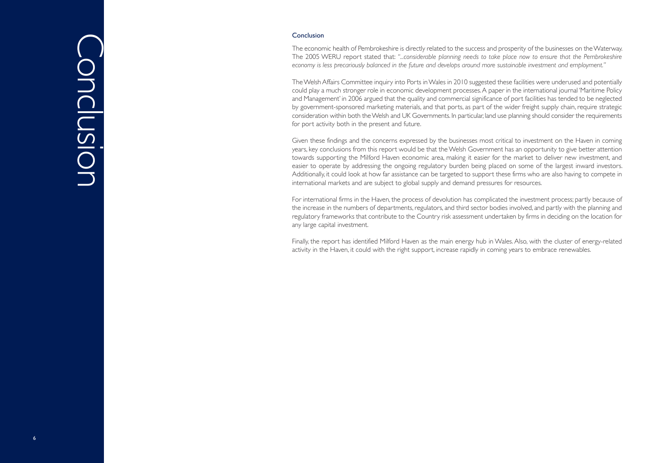#### Conclusion

The economic health of Pembrokeshire is directly related to the success and prosperity of the businesses on the Waterway. The 2005 WERU report stated that: *"...considerable planning needs to take place now to ensure that the Pembrokeshire economy is less precariously balanced in the future and develops around more sustainable investment and employment."*

The Welsh Affairs Committee inquiry into Ports in Wales in 2010 suggested these facilities were underused and potentially could play a much stronger role in economic development processes. A paper in the international journal 'Maritime Policy and Management' in 2006 argued that the quality and commercial significance of port facilities has tended to be neglected by government-sponsored marketing materials, and that ports, as part of the wider freight supply chain, require strategic consideration within both the Welsh and UK Governments. In particular, land use planning should consider the requirements for port activity both in the present and future.

Given these findings and the concerns expressed by the businesses most critical to investment on the Haven in coming years, key conclusions from this report would be that the Welsh Government has an opportunity to give better attention towards supporting the Milford Haven economic area, making it easier for the market to deliver new investment, and easier to operate by addressing the ongoing regulatory burden being placed on some of the largest inward investors. Additionally, it could look at how far assistance can be targeted to support these firms who are also having to compete in international markets and are subject to global supply and demand pressures for resources.

For international firms in the Haven, the process of devolution has complicated the investment process; partly because of the increase in the numbers of departments, regulators, and third sector bodies involved, and partly with the planning and regulatory frameworks that contribute to the Country risk assessment undertaken by firms in deciding on the location for any large capital investment.

Finally, the report has identified Milford Haven as the main energy hub in Wales. Also, with the cluster of energy-related activity in the Haven, it could with the right support, increase rapidly in coming years to embrace renewables.